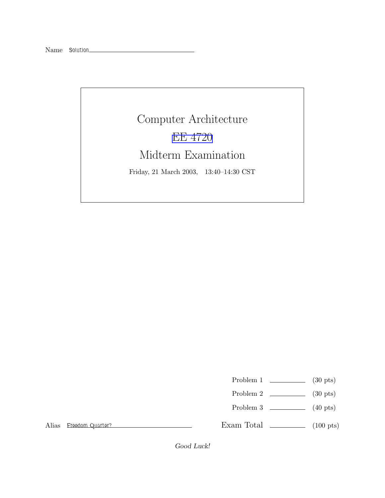## Computer Architecture EE [4720](http://www.ece.lsu.edu/ee4720/) Midterm Examination Friday, 21 March 2003, 13:40–14:30 CST

Problem 1  $\qquad \qquad$  (30 pts)

- Problem 2  $\sim$  (30 pts)
- Problem  $3 \t\t(40 \text{ pts})$

Alias Freedom Quarter?

Exam Total  $\qquad \qquad$  (100 pts)

Good Luck!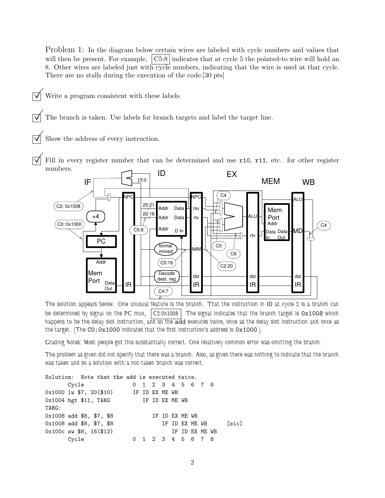Problem 1: In the diagram below certain wires are labeled with cycle numbers and values that will then be present. For example,  $\vert \text{C5:8} \vert$  indicates that at cycle 5 the pointed-to wire will hold an 8. Other wires are labeled just with cycle numbers, indicating that the wire is used at that cycle. There are no stalls during the execution of the code.[30 pts]

Write a program consistent with these labels.

The branch is taken. Use labels for branch targets and label the target line.

Show the address of every instruction.

Fill in every register number that can be determined and use  $r10$ ,  $r11$ , etc. for other register numbers.



The solution appears below. One unusual feature is the branch. That the instruction in ID at cycle 2 is a branch can be determined by signal on the PC mux,  $\vert$  C2:0x1008  $\vert$ . The signal indicates that the branch target is 0x1008 which happens to be the delay slot instruction, and so the add executes twice, once as the delay slot instruction and once as the target. (The  $CO:0x1000$  indicates that the first instruction's address is  $0x1000$ .)

Grading Notes: Most people got this substantially correct. One relatively common error was omitting the branch.

The problem as given did not specify that there was a branch. Also, as given there was nothing to indicate that the branch was taken and so a solution with a not-taken branch was correct.

```
Solution: Note that the add is executed twice.
     Cycle 0 1 2 3 4 5 6 7 8
0x1000 lw $7, 20($10) IF ID EX ME WB
0x1004 bgt $11, TARG IF ID EX ME WB
TARG:
0x1008 add $8, $7, $8 IF ID EX ME WB
0x1008 add $8, $7, $8 IF ID EX ME WB [sic]
0x100c sw $8, 16($12) IF ID EX ME WB
     Cycle 0 1 2 3 4 5 6 7 8
```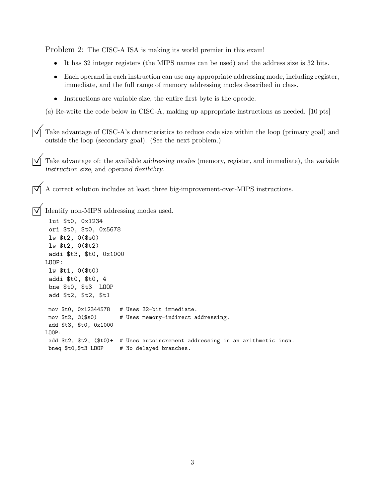Problem 2: The CISC-A ISA is making its world premier in this exam!

- It has 32 integer registers (the MIPS names can be used) and the address size is 32 bits.
- Each operand in each instruction can use any appropriate addressing mode, including register, immediate, and the full range of memory addressing modes described in class.
- Instructions are variable size, the entire first byte is the opcode.

(a) Re-write the code below in CISC-A, making up appropriate instructions as needed. [10 pts]

 $\vec{\nabla}$  Take advantage of CISC-A's characteristics to reduce code size within the loop (primary goal) and outside the loop (secondary goal). (See the next problem.)

Take advantage of: the available addressing modes (memory, register, and immediate), the variable instruction size, and operand flexibility.

 $\boxed{\bigtriangledown}$  A correct solution includes at least three big-improvement-over-MIPS instructions.

©Identify non-MIPS addressing modes used.

```
lui $t0, 0x1234
 ori $t0, $t0, 0x5678
 lw $t2, 0($s0)
 lw $t2, 0($t2)
 addi $t3, $t0, 0x1000
LOOP:
 lw $t1, 0($t0)
 addi $t0, $t0, 4
 bne $t0, $t3 LOOP
 add $t2, $t2, $t1
mov $t0, 0x12344578 # Uses 32-bit immediate.
mov $t2, @($s0) # Uses memory-indirect addressing.
 add $t3, $t0, 0x1000
LOOP:
add $t2, $t2, ($t0)+ # Uses autoincrement addressing in an arithmetic insn.
bneq $t0,$t3 LOOP # No delayed branches.
```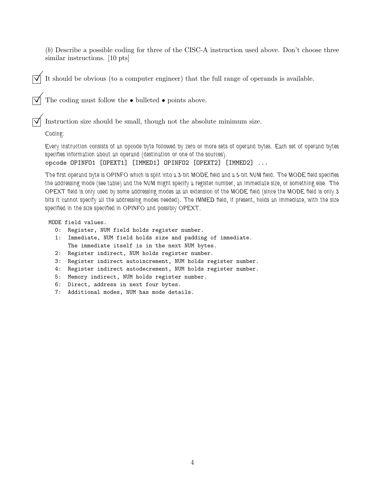(b) Describe a possible coding for three of the CISC-A instruction used above. Don't choose three similar instructions. [10 pts]

 $\overrightarrow{\mathsf{M}}$  It should be obvious (to a computer engineer) that the full range of operands is available.

 $\overrightarrow{\mathsf{M}}$  The coding must follow the  $\bullet$  bulleted  $\bullet$  points above.

 $\triangledown$  Instruction size should be small, though not the absolute minimum size.

Coding:

Every instruction consists of an opcode byte followed by zero or more sets of operand bytes. Each set of operand bytes specifies information about an operand (destination or one of the sources).

opcode OPINFO1 [OPEXT1] [IMMED1] OPINFO2 [OPEXT2] [IMMED2] ...

The first operand byte is OPINFO which is split into a 3-bit MODE field and a 5-bit NUM field. The MODE field specifies the addressing mode (see table) and the NUM might specify a register number, an immediate size, or something else. The OPEXT field is only used by some addressing modes as an extension of the MODE field (since the MODE field is only 3 bits it cannot specify all the addressing modes needed). The IMMED field, if present, holds an immediate, with the size specified in the size specified in OPINFO and possibly OPEXT.

MODE field values.

- 0: Register, NUM field holds register number.
- 1: Immediate, NUM field holds size and padding of immediate. The immediate itself is in the next NUM bytes.
- 2: Register indirect, NUM holds register number.
- 3: Register indirect autoincrement, NUM holds register number.
- 4: Register indirect autodecrement, NUM holds register number.
- 5: Memory indirect, NUM holds register number.
- 6: Direct, address in next four bytes.
- 7: Additional modes, NUM has mode details.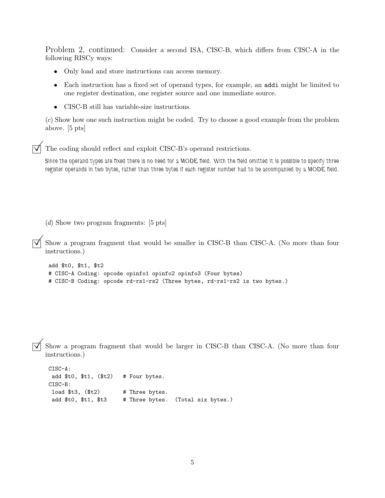Problem 2, continued: Consider a second ISA, CISC-B, which differs from CISC-A in the following RISCy ways:

- Only load and store instructions can access memory.
- Each instruction has a fixed set of operand types, for example, an addi might be limited to one register destination, one register source and one immediate source.
- CISC-B still has variable-size instructions.

(c) Show how one such instruction might be coded. Try to choose a good example from the problem above. [5 pts]

The coding should reflect and exploit CISC-B's operand restrictions.

Since the operand types are fixed there is no need for a MODE field. With the field omitted it is possible to specify three register operands in two bytes, rather than three bytes if each register number had to be accompanied by a MODE field.

(d) Show two program fragments: [5 pts]

Show a program fragment that would be smaller in CISC-B than CISC-A. (No more than four instructions.)

```
add $t0, $t1, $t2
# CISC-A Coding: opcode opinfo1 opinfo2 opinfo3 (Four bytes)
# CISC-B Coding: opcode rd-rs1-rs2 (Three bytes, rd-rs1-rs2 is two bytes.)
```
Show a program fragment that would be larger in CISC-B than CISC-A. (No more than four instructions.)

```
CISC-A:
add t0, t1, (t2) # Four bytes.
CISC-B:
load $t3, $t2) # Three bytes.
 add $t0, $t1, $t3 # Three bytes. (Total six bytes.)
```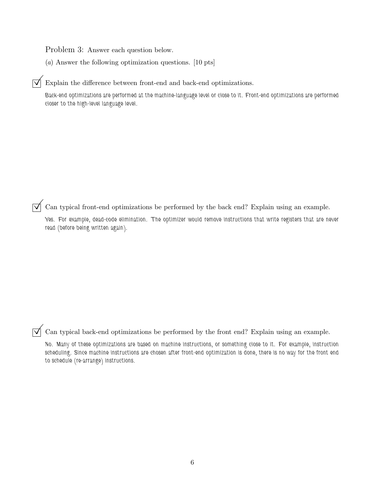Problem 3: Answer each question below.

(a) Answer the following optimization questions. [10 pts]

Explain the difference between front-end and back-end optimizations.

Back-end optimizations are performed at the machine-language level or close to it. Front-end optimizations are performed closer to the high-level language level.

 $\overline{\sqrt{\ }}$  Can typical front-end optimizations be performed by the back end? Explain using an example.

Yes. For example, dead-code elimination. The optimizer would remove instructions that write registers that are never read (before being written again).

 $\overrightarrow{\mathbf{q}}$  Can typical back-end optimizations be performed by the front end? Explain using an example.

No. Many of these optimizations are based on machine instructions, or something close to it. For example, instruction scheduling. Since machine instructions are chosen after front-end optimization is done, there is no way for the front end to schedule (re-arrange) instructions.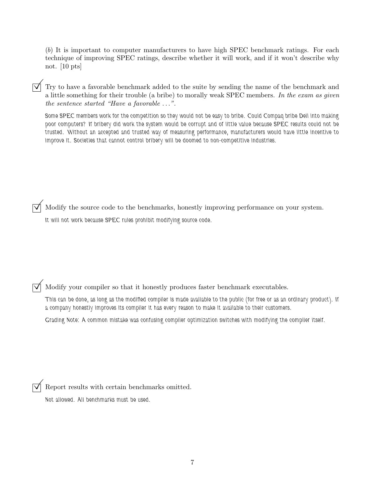(b) It is important to computer manufacturers to have high SPEC benchmark ratings. For each technique of improving SPEC ratings, describe whether it will work, and if it won't describe why not. [10 pts]

Try to have a favorable benchmark added to the suite by sending the name of the benchmark and a little something for their trouble (a bribe) to morally weak SPEC members. In the exam as given the sentence started "Have a favorable . . .".

Some SPEC members work for the competition so they would not be easy to bribe. Could Compaq bribe Dell into making poor computers? If bribery did work the system would be corrupt and of little value because SPEC results could not be trusted. Without an accepted and trusted way of measuring performance, manufacturers would have little incentive to improve it. Societies that cannot control bribery will be doomed to non-competitive industries.

© Modify the source code to the benchmarks, honestly improving performance on your system. It will not work because SPEC rules prohibit modifying source code.

© Modify your compiler so that it honestly produces faster benchmark executables.

This can be done, as long as the modified compiler is made available to the public (for free or as an ordinary product). If a company honestly improves its compiler it has every reason to make it available to their customers.

Grading Note: A common mistake was confusing compiler optimization switches with modifying the compiler itself.

Report results with certain benchmarks omitted.

Not allowed. All benchmarks must be used.